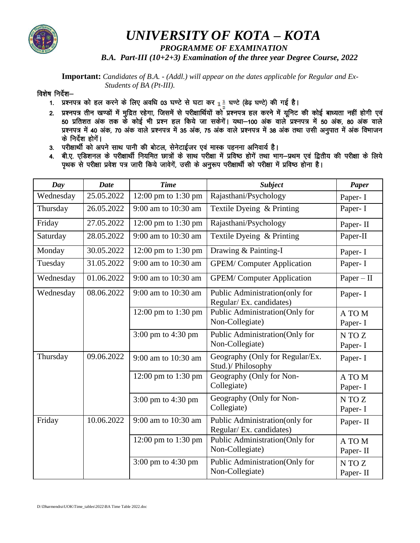

## UNIVERSITY OF KOTA - KOTA

PROGRAMME OF EXAMINATION

B.A. Part-III (10+2+3) Examination of the three year Degree Course, 2022

**Important:** Candidates of B.A. - (Addl.) will appear on the dates applicable for Regular and Ex-Students of BA (Pt-III).

## विशेष निर्देश-

- 1. प्रश्नपत्र को हल करने के लिए अवधि 03 घण्टे से घटा कर  $1\frac{1}{3}$  घण्टे (डेढ़ घण्टे) की गई है।
- 2. प्रश्नपत्र तीन खण्डों में मुद्रित रहेगा, जिसमें से परीक्षार्थियों को प्रश्नपत्र हल करने में यूनिट की कोई बाध्यता नहीं होगी एवं<br>50 प्रतिशत अंक तक के कोई भी प्रश्न हल किये जा सकेगें। यथा–100 अंक वाले प्रश्नपत्र में 50 अं के निर्देश होगें।
- 3. परीक्षार्थी को अपने साथ पानी की बोटल, सेनेटाईजर एवं मास्क पहनना अनिवार्य है।
- 4. बी.ए. एडिशनल के परीक्षार्थी नियमित छात्रों के साथ परीक्षा में प्रविष्ठ होगें तथा भाग-प्रथम एवं द्वितीय की परीक्षा के लिये पृथक से परीक्षा प्रवेश पत्र जारी किये जावेगें, उसी के अनूरूप परीक्षार्थी को परीक्षा में प्रविष्ठ होना है।

| Day       | <b>Date</b> | <b>Time</b>         | <b>Subject</b>                                             | <b>Paper</b>       |
|-----------|-------------|---------------------|------------------------------------------------------------|--------------------|
| Wednesday | 25.05.2022  | 12:00 pm to 1:30 pm | Rajasthani/Psychology                                      | Paper- I           |
| Thursday  | 26.05.2022  | 9:00 am to 10:30 am | Textile Dyeing & Printing                                  | Paper- I           |
| Friday    | 27.05.2022  | 12:00 pm to 1:30 pm | Rajasthani/Psychology                                      | Paper-II           |
| Saturday  | 28.05.2022  | 9:00 am to 10:30 am | Textile Dyeing & Printing                                  | Paper-II           |
| Monday    | 30.05.2022  | 12:00 pm to 1:30 pm | Drawing & Painting-I                                       | Paper- I           |
| Tuesday   | 31.05.2022  | 9:00 am to 10:30 am | <b>GPEM/Computer Application</b>                           | Paper- I           |
| Wednesday | 01.06.2022  | 9:00 am to 10:30 am | <b>GPEM/Computer Application</b>                           | $Paper - II$       |
| Wednesday | 08.06.2022  | 9:00 am to 10:30 am | Public Administration(only for<br>Regular/ Ex. candidates) | Paper- I           |
|           |             | 12:00 pm to 1:30 pm | Public Administration(Only for<br>Non-Collegiate)          | A TO M<br>Paper- I |
|           |             | 3:00 pm to 4:30 pm  | Public Administration(Only for<br>Non-Collegiate)          | N TO Z<br>Paper- I |
| Thursday  | 09.06.2022  | 9:00 am to 10:30 am | Geography (Only for Regular/Ex.<br>Stud.)/ Philosophy      | Paper- I           |
|           |             | 12:00 pm to 1:30 pm | Geography (Only for Non-<br>Collegiate)                    | A TO M<br>Paper- I |
|           |             | 3:00 pm to 4:30 pm  | Geography (Only for Non-<br>Collegiate)                    | N TO Z<br>Paper- I |
| Friday    | 10.06.2022  | 9:00 am to 10:30 am | Public Administration(only for<br>Regular/ Ex. candidates) | Paper-II           |
|           |             | 12:00 pm to 1:30 pm | Public Administration(Only for<br>Non-Collegiate)          | A TO M<br>Paper-II |
|           |             | 3:00 pm to 4:30 pm  | Public Administration(Only for<br>Non-Collegiate)          | N TO Z<br>Paper-II |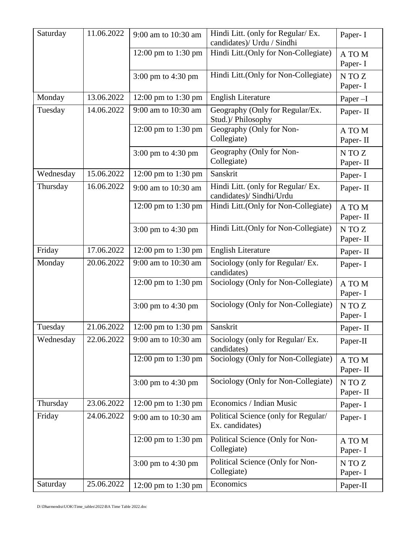| Saturday  | 11.06.2022 | 9:00 am to 10:30 am | Hindi Litt. (only for Regular/ Ex.<br>candidates)/ Urdu / Sindhi | Paper- I           |
|-----------|------------|---------------------|------------------------------------------------------------------|--------------------|
|           |            | 12:00 pm to 1:30 pm | Hindi Litt.(Only for Non-Collegiate)                             | A TO M<br>Paper- I |
|           |            | 3:00 pm to 4:30 pm  | Hindi Litt.(Only for Non-Collegiate)                             | N TO Z<br>Paper- I |
| Monday    | 13.06.2022 | 12:00 pm to 1:30 pm | <b>English Literature</b>                                        | Paper-I            |
| Tuesday   | 14.06.2022 | 9:00 am to 10:30 am | Geography (Only for Regular/Ex.<br>Stud.)/ Philosophy            | Paper-II           |
|           |            | 12:00 pm to 1:30 pm | Geography (Only for Non-<br>Collegiate)                          | A TO M<br>Paper-II |
|           |            | 3:00 pm to 4:30 pm  | Geography (Only for Non-<br>Collegiate)                          | N TO Z<br>Paper-II |
| Wednesday | 15.06.2022 | 12:00 pm to 1:30 pm | Sanskrit                                                         | Paper- I           |
| Thursday  | 16.06.2022 | 9:00 am to 10:30 am | Hindi Litt. (only for Regular/ Ex.<br>candidates)/ Sindhi/Urdu   | Paper-II           |
|           |            | 12:00 pm to 1:30 pm | Hindi Litt.(Only for Non-Collegiate)                             | A TO M<br>Paper-II |
|           |            | 3:00 pm to 4:30 pm  | Hindi Litt.(Only for Non-Collegiate)                             | N TO Z<br>Paper-II |
| Friday    | 17.06.2022 | 12:00 pm to 1:30 pm | <b>English Literature</b>                                        | Paper-II           |
| Monday    | 20.06.2022 | 9:00 am to 10:30 am | Sociology (only for Regular/ Ex.<br>candidates)                  | Paper- I           |
|           |            | 12:00 pm to 1:30 pm | Sociology (Only for Non-Collegiate)                              | A TO M<br>Paper- I |
|           |            | 3:00 pm to 4:30 pm  | Sociology (Only for Non-Collegiate)                              | N TO Z<br>Paper- I |
| Tuesday   | 21.06.2022 | 12:00 pm to 1:30 pm | Sanskrit                                                         | Paper-II           |
| Wednesday | 22.06.2022 | 9:00 am to 10:30 am | Sociology (only for Regular/ Ex.<br>candidates)                  | Paper-II           |
|           |            | 12:00 pm to 1:30 pm | Sociology (Only for Non-Collegiate)                              | A TO M<br>Paper-II |
|           |            | 3:00 pm to 4:30 pm  | Sociology (Only for Non-Collegiate)                              | N TO Z<br>Paper-II |
| Thursday  | 23.06.2022 | 12:00 pm to 1:30 pm | Economics / Indian Music                                         | Paper- I           |
| Friday    | 24.06.2022 | 9:00 am to 10:30 am | Political Science (only for Regular/<br>Ex. candidates)          | Paper- I           |
|           |            | 12:00 pm to 1:30 pm | Political Science (Only for Non-<br>Collegiate)                  | A TO M<br>Paper- I |
|           |            | 3:00 pm to 4:30 pm  | Political Science (Only for Non-<br>Collegiate)                  | N TO Z<br>Paper- I |
| Saturday  | 25.06.2022 | 12:00 pm to 1:30 pm | Economics                                                        | Paper-II           |